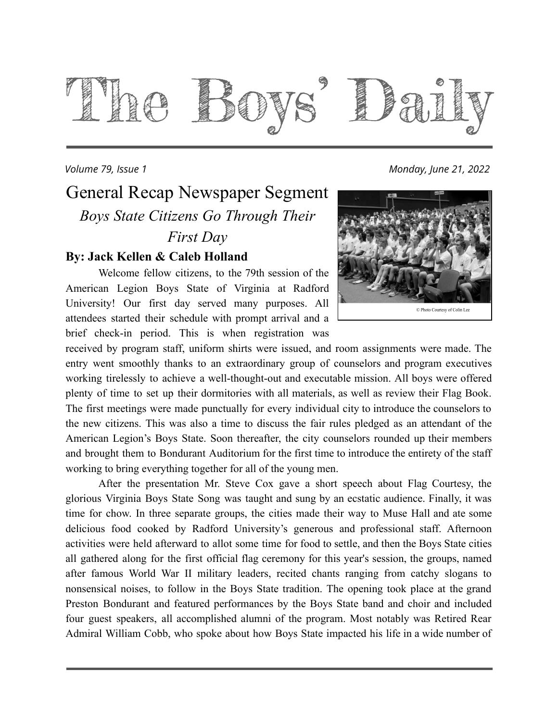

#### *Volume 79, Issue 1 Monday, June 21, 2022*

### General Recap Newspaper Segment *Boys State Citizens Go Through Their First Day*

#### **By: Jack Kellen & Caleb Holland**

Welcome fellow citizens, to the 79th session of the American Legion Boys State of Virginia at Radford University! Our first day served many purposes. All attendees started their schedule with prompt arrival and a brief check-in period. This is when registration was



received by program staff, uniform shirts were issued, and room assignments were made. The entry went smoothly thanks to an extraordinary group of counselors and program executives working tirelessly to achieve a well-thought-out and executable mission. All boys were offered plenty of time to set up their dormitories with all materials, as well as review their Flag Book. The first meetings were made punctually for every individual city to introduce the counselors to the new citizens. This was also a time to discuss the fair rules pledged as an attendant of the American Legion's Boys State. Soon thereafter, the city counselors rounded up their members and brought them to Bondurant Auditorium for the first time to introduce the entirety of the staff working to bring everything together for all of the young men.

After the presentation Mr. Steve Cox gave a short speech about Flag Courtesy, the glorious Virginia Boys State Song was taught and sung by an ecstatic audience. Finally, it was time for chow. In three separate groups, the cities made their way to Muse Hall and ate some delicious food cooked by Radford University's generous and professional staff. Afternoon activities were held afterward to allot some time for food to settle, and then the Boys State cities all gathered along for the first official flag ceremony for this year's session, the groups, named after famous World War II military leaders, recited chants ranging from catchy slogans to nonsensical noises, to follow in the Boys State tradition. The opening took place at the grand Preston Bondurant and featured performances by the Boys State band and choir and included four guest speakers, all accomplished alumni of the program. Most notably was Retired Rear Admiral William Cobb, who spoke about how Boys State impacted his life in a wide number of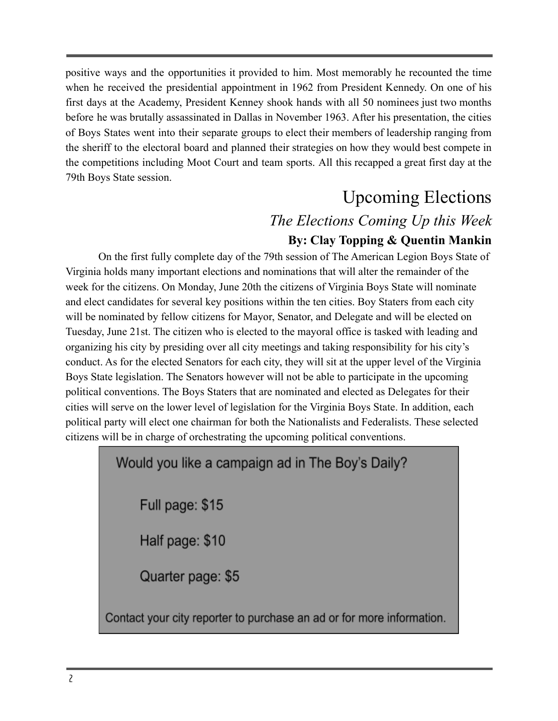positive ways and the opportunities it provided to him. Most memorably he recounted the time when he received the presidential appointment in 1962 from President Kennedy. On one of his first days at the Academy, President Kenney shook hands with all 50 nominees just two months before he was brutally assassinated in Dallas in November 1963. After his presentation, the cities of Boys States went into their separate groups to elect their members of leadership ranging from the sheriff to the electoral board and planned their strategies on how they would best compete in the competitions including Moot Court and team sports. All this recapped a great first day at the 79th Boys State session.

### Upcoming Elections

### *The Elections Coming Up this Week* **By: Clay Topping & Quentin Mankin**

On the first fully complete day of the 79th session of The American Legion Boys State of Virginia holds many important elections and nominations that will alter the remainder of the week for the citizens. On Monday, June 20th the citizens of Virginia Boys State will nominate and elect candidates for several key positions within the ten cities. Boy Staters from each city will be nominated by fellow citizens for Mayor, Senator, and Delegate and will be elected on Tuesday, June 21st. The citizen who is elected to the mayoral office is tasked with leading and organizing his city by presiding over all city meetings and taking responsibility for his city's conduct. As for the elected Senators for each city, they will sit at the upper level of the Virginia Boys State legislation. The Senators however will not be able to participate in the upcoming political conventions. The Boys Staters that are nominated and elected as Delegates for their cities will serve on the lower level of legislation for the Virginia Boys State. In addition, each political party will elect one chairman for both the Nationalists and Federalists. These selected citizens will be in charge of orchestrating the upcoming political conventions.

### Would you like a campaign ad in The Boy's Daily?

Full page: \$15

Half page: \$10

Quarter page: \$5

Contact your city reporter to purchase an ad or for more information.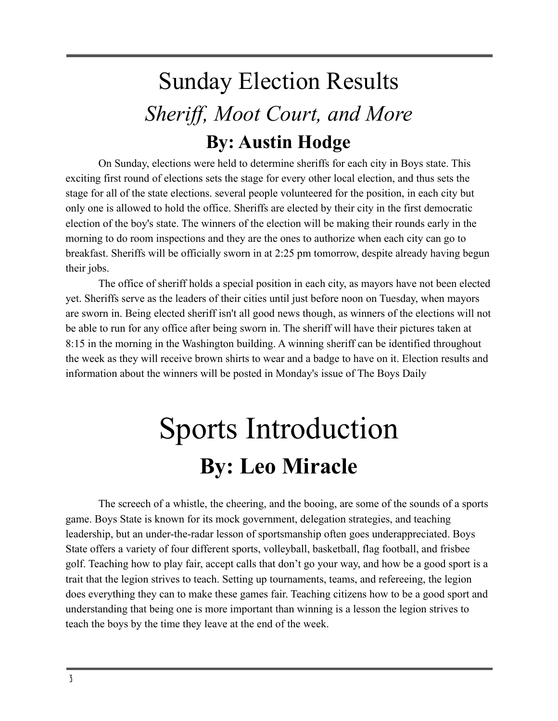## Sunday Election Results *Sheriff, Moot Court, and More* **By: Austin Hodge**

On Sunday, elections were held to determine sheriffs for each city in Boys state. This exciting first round of elections sets the stage for every other local election, and thus sets the stage for all of the state elections. several people volunteered for the position, in each city but only one is allowed to hold the office. Sheriffs are elected by their city in the first democratic election of the boy's state. The winners of the election will be making their rounds early in the morning to do room inspections and they are the ones to authorize when each city can go to breakfast. Sheriffs will be officially sworn in at 2:25 pm tomorrow, despite already having begun their jobs.

The office of sheriff holds a special position in each city, as mayors have not been elected yet. Sheriffs serve as the leaders of their cities until just before noon on Tuesday, when mayors are sworn in. Being elected sheriff isn't all good news though, as winners of the elections will not be able to run for any office after being sworn in. The sheriff will have their pictures taken at 8:15 in the morning in the Washington building. A winning sheriff can be identified throughout the week as they will receive brown shirts to wear and a badge to have on it. Election results and information about the winners will be posted in Monday's issue of The Boys Daily

# Sports Introduction **By: Leo Miracle**

The screech of a whistle, the cheering, and the booing, are some of the sounds of a sports game. Boys State is known for its mock government, delegation strategies, and teaching leadership, but an under-the-radar lesson of sportsmanship often goes underappreciated. Boys State offers a variety of four different sports, volleyball, basketball, flag football, and frisbee golf. Teaching how to play fair, accept calls that don't go your way, and how be a good sport is a trait that the legion strives to teach. Setting up tournaments, teams, and refereeing, the legion does everything they can to make these games fair. Teaching citizens how to be a good sport and understanding that being one is more important than winning is a lesson the legion strives to teach the boys by the time they leave at the end of the week.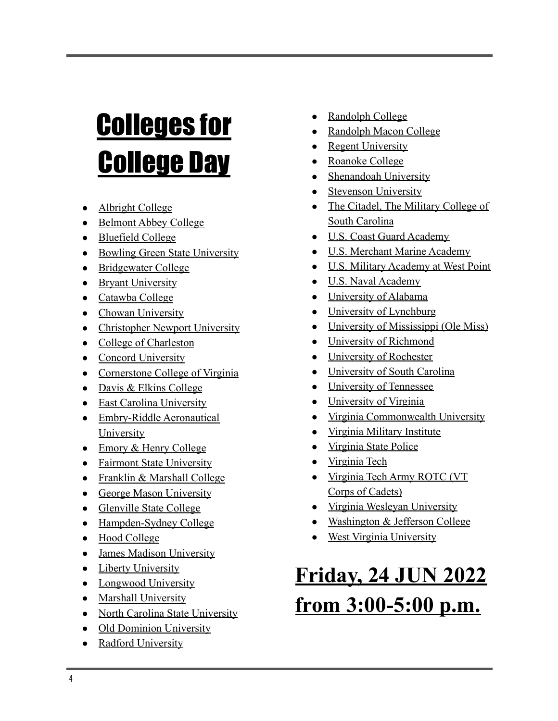# Colleges for College Day

- [Albright College](https://www.albright.edu/)
- [Belmont Abbey College](https://www.belmontabbeycollege.edu/)
- [Bluefield College](http://www.bluefield.edu/)
- [Bowling Green State University](https://www.bgsu.edu/)
- [Bridgewater College](https://www.bridgewater.edu/)
- [Bryant University](https://bryant.edu/)
- [Catawba College](https://www.catawba.edu/)
- [Chowan University](https://www.chowan.edu/)
- [Christopher Newport University](https://www.cnu.edu/)
- [College of Charleston](https://www.cofc.edu/)
- [Concord University](https://www.concord.edu/)
- [Cornerstone College of Virginia](https://www.cornerstonecollegeva.org/)
- [Davis & Elkins College](https://www.dewv.edu/)
- [East Carolina University](https://www.ecu.edu/)
- [Embry-Riddle Aeronautical](https://www.erau.edu/) [University](https://www.erau.edu/)
- [Emory & Henry College](https://www.ehc.edu/)
- [Fairmont State University](https://www.fairmontstate.edu/)
- [Franklin & Marshall College](https://www.fandm.edu/)
- [George Mason University](https://www.gmu.edu/)
- [Glenville State College](https://www.glenville.edu/)
- [Hampden-Sydney College](http://www.hsc.edu/)
- [Hood College](https://www.hood.edu/)
- [James Madison University](https://www.jmu.edu/)
- [Liberty University](https://www.liberty.edu/)
- [Longwood University](https://www.longwood.edu/)
- [Marshall University](https://www.marshall.edu/)
- [North Carolina State University](https://www.ncsu.edu/)
- [Old Dominion University](https://www.odu.edu/)
- [Radford University](https://www.radford.edu/)
- [Randolph College](https://www.randolphcollege.edu/)
- [Randolph Macon College](https://www.rmc.edu/)
- **[Regent University](https://www.regent.edu/)**
- [Roanoke College](https://www.roanoke.edu/)
- [Shenandoah University](https://www.su.edu/)
- **[Stevenson University](https://www.stevenson.edu/)**
- [The Citadel, The Military College of](https://go.citadel.edu/) [South Carolina](https://go.citadel.edu/)
- [U.S. Coast Guard Academy](https://www.uscga.edu/)
- [U.S. Merchant Marine Academy](https://www.usmma.edu/)
- [U.S. Military Academy at West Point](https://www.westpoint.edu/)
- [U.S. Naval Academy](https://www.usna.edu/)
- [University of Alabama](https://www.ua.edu/)
- [University of Lynchburg](https://www.lynchburg.edu/)
- [University of Mississippi \(Ole Miss\)](https://www.olemiss.edu/)
- [University of Richmond](https://www.richmond.edu/)
- [University of Rochester](https://www.rochester.edu/)
- [University of South Carolina](https://sc.edu/)
- [University of Tennessee](https://www.tennessee.edu/)
- [University of Virginia](http://www.virginia.edu/)
- [Virginia Commonwealth University](https://www.vcu.edu/)
- [Virginia Military Institute](https://www.vmi.edu/)
- [Virginia State Police](http://www.vsp.virginia.gov/)
- [Virginia Tech](https://vt.edu/)
- [Virginia Tech Army ROTC \(VT](https://www.armyrotc.vt.edu/) [Corps of Cadets\)](https://www.armyrotc.vt.edu/)
- [Virginia Wesleyan University](https://www.vwu.edu/)
- [Washington & Jefferson College](https://www.washjeff.edu/)
- [West Virginia University](https://www.wvu.edu/)

# **Friday, 24 JUN 2022 from 3:00-5:00 p.m.**